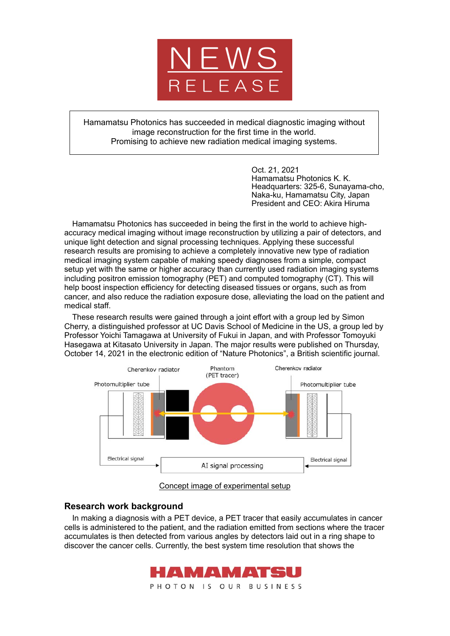

Hamamatsu Photonics has succeeded in medical diagnostic imaging without image reconstruction for the first time in the world. Promising to achieve new radiation medical imaging systems.

> Oct. 21, 2021 Hamamatsu Photonics K. K. Headquarters: 325-6, Sunayama-cho, Naka-ku, Hamamatsu City, Japan President and CEO: Akira Hiruma

Hamamatsu Photonics has succeeded in being the first in the world to achieve highaccuracy medical imaging without image reconstruction by utilizing a pair of detectors, and unique light detection and signal processing techniques. Applying these successful research results are promising to achieve a completely innovative new type of radiation medical imaging system capable of making speedy diagnoses from a simple, compact setup yet with the same or higher accuracy than currently used radiation imaging systems including positron emission tomography (PET) and computed tomography (CT). This will help boost inspection efficiency for detecting diseased tissues or organs, such as from cancer, and also reduce the radiation exposure dose, alleviating the load on the patient and medical staff.

These research results were gained through a joint effort with a group led by Simon Cherry, a distinguished professor at UC Davis School of Medicine in the US, a group led by Professor Yoichi Tamagawa at University of Fukui in Japan, and with Professor Tomoyuki Hasegawa at Kitasato University in Japan. The major results were published on Thursday, October 14, 2021 in the electronic edition of "Nature Photonics", a British scientific journal.



Concept image of experimental setup

## **Research work background**

In making a diagnosis with a PET device, a PET tracer that easily accumulates in cancer cells is administered to the patient, and the radiation emitted from sections where the tracer accumulates is then detected from various angles by detectors laid out in a ring shape to discover the cancer cells. Currently, the best system time resolution that shows the

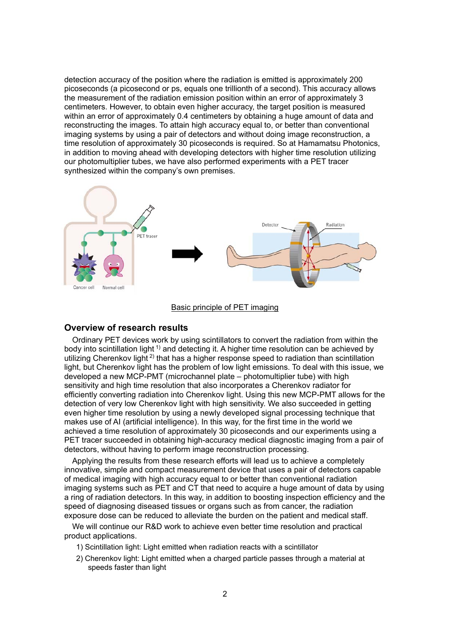detection accuracy of the position where the radiation is emitted is approximately 200 picoseconds (a picosecond or ps, equals one trillionth of a second). This accuracy allows the measurement of the radiation emission position within an error of approximately 3 centimeters. However, to obtain even higher accuracy, the target position is measured within an error of approximately 0.4 centimeters by obtaining a huge amount of data and reconstructing the images. To attain high accuracy equal to, or better than conventional imaging systems by using a pair of detectors and without doing image reconstruction, a time resolution of approximately 30 picoseconds is required. So at Hamamatsu Photonics, in addition to moving ahead with developing detectors with higher time resolution utilizing our photomultiplier tubes, we have also performed experiments with a PET tracer synthesized within the company's own premises.



## Basic principle of PET imaging

## **Overview of research results**

Ordinary PET devices work by using scintillators to convert the radiation from within the body into scintillation light<sup>1)</sup> and detecting it. A higher time resolution can be achieved by utilizing Cherenkov light  $2$ ) that has a higher response speed to radiation than scintillation light, but Cherenkov light has the problem of low light emissions. To deal with this issue, we developed a new MCP-PMT (microchannel plate – photomultiplier tube) with high sensitivity and high time resolution that also incorporates a Cherenkov radiator for efficiently converting radiation into Cherenkov light. Using this new MCP-PMT allows for the detection of very low Cherenkov light with high sensitivity. We also succeeded in getting even higher time resolution by using a newly developed signal processing technique that makes use of AI (artificial intelligence). In this way, for the first time in the world we achieved a time resolution of approximately 30 picoseconds and our experiments using a PET tracer succeeded in obtaining high-accuracy medical diagnostic imaging from a pair of detectors, without having to perform image reconstruction processing.

Applying the results from these research efforts will lead us to achieve a completely innovative, simple and compact measurement device that uses a pair of detectors capable of medical imaging with high accuracy equal to or better than conventional radiation imaging systems such as PET and CT that need to acquire a huge amount of data by using a ring of radiation detectors. In this way, in addition to boosting inspection efficiency and the speed of diagnosing diseased tissues or organs such as from cancer, the radiation exposure dose can be reduced to alleviate the burden on the patient and medical staff.

We will continue our R&D work to achieve even better time resolution and practical product applications.

- 1) Scintillation light: Light emitted when radiation reacts with a scintillator
- 2) Cherenkov light: Light emitted when a charged particle passes through a material at speeds faster than light